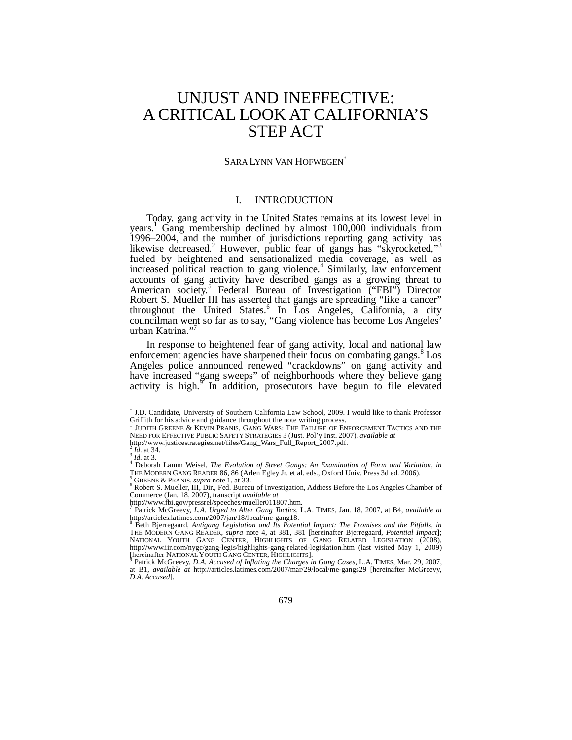# UNJUST AND INEFFECTIVE: A CRITICAL LOOK AT CALIFORNIA'S STEP ACT

#### SARA LYNN VAN HOFWEGEN<sup>∗</sup>

## I. INTRODUCTION

Today, gang activity in the United States remains at its lowest level in years.<sup>1</sup> Gang membership declined by almost 100,000 individuals from 1996–2004, and the number of jurisdictions reporting gang activity has likewise decreased.<sup>2</sup> However, public fear of gangs has "skyrocketed,"<sup>3</sup> fueled by heightened and sensationalized media coverage, as well as increased political reaction to gang violence.<sup>4</sup> Similarly, law enforcement accounts of gang activity have described gangs as a growing threat to American society.<sup>5</sup> Federal Bureau of Investigation ("FBI") Director Robert S. Mueller III has asserted that gangs are spreading "like a cancer" throughout the United States.<sup>6</sup> In Los Angeles, California, a city councilman went so far as to say, "Gang violence has become Los Angeles' urban Katrina."7

In response to heightened fear of gang activity, local and national law enforcement agencies have sharpened their focus on combating gangs.<sup>8</sup> Los Angeles police announced renewed "crackdowns" on gang activity and have increased "gang sweeps" of neighborhoods where they believe gang activity is high.<sup>9</sup> In addition, prosecutors have begun to file elevated

-

http://www.fbi.gov/pressrel/speeches/mueller011807.htm.<br><sup>7</sup> Petrick McGroowy L.A. Urged to Alter Gang Tastics L.

<sup>∗</sup> J.D. Candidate, University of Southern California Law School, 2009. I would like to thank Professor Griffith for his advice and guidance throughout the note writing process.<br><sup>1</sup> HENTH GREENE & KEVIN **PRANE GANG WARS:** THE FAILURE OF FN

JUDITH GREENE & KEVIN PRANIS, GANG WARS: THE FAILURE OF ENFORCEMENT TACTICS AND THE NEED FOR EFFECTIVE PUBLIC SAFETY STRATEGIES 3 (Just. Pol'y Inst. 2007), *available at* http://www.justicestrategies.net/files/Gang\_Wars\_Full\_Report\_2007.pdf.

<sup>2</sup> *Id.* at 34. 3 *Id.* at 3. 4 Deborah Lamm Weisel, *The Evolution of Street Gangs: An Examination of Form and Variation*, *in* THE MODERN GANG READER 86, 86 (Arlen Egley Jr. et al. eds., Oxford Univ. Press 3d ed. 2006). 5

<sup>&</sup>lt;sup>5</sup> GREENE & PRANIS, *supra* note 1, at 33.<br><sup>6</sup> Robert S. Mueller, III, Dir., Fed. Bureau of Investigation, Address Before the Los Angeles Chamber of Commerce (Jan. 18, 2007), transcript *available at*

Patrick McGreevy, *L.A. Urged to Alter Gang Tactics*, L.A. TIMES, Jan. 18, 2007, at B4, *available at* http://articles.latimes.com/2007/jan/18/local/me-gang18. 8 Beth Bjerregaard, *Antigang Legislation and Its Potential Impact: The Promises and the Pitfalls*, *in*

THE MODERN GANG READER, *supra* note 4, at 381, 381 [hereinafter Bjerregaard, *Potential Impact*]; NATIONAL YOUTH GANG CENTER, HIGHLIGHTS OF GANG RELATED LEGISLATION (2008), http://www.iir.com/nygc/gang-legis/highlights-gang-related-legislation.htm (last visited May 1, 2009)<br>[hereinafter NATIONAL YOUTH GANG CENTER, HIGHLIGHTS].<br>9 Detriel: MoGreeuy. D. A. Ageused of Inflation the Charges in Gan

Patrick McGreevy, *D.A. Accused of Inflating the Charges in Gang Cases*, L.A. TIMES, Mar. 29, 2007, at B1, *available at* http://articles.latimes.com/2007/mar/29/local/me-gangs29 [hereinafter McGreevy, *D.A. Accused*].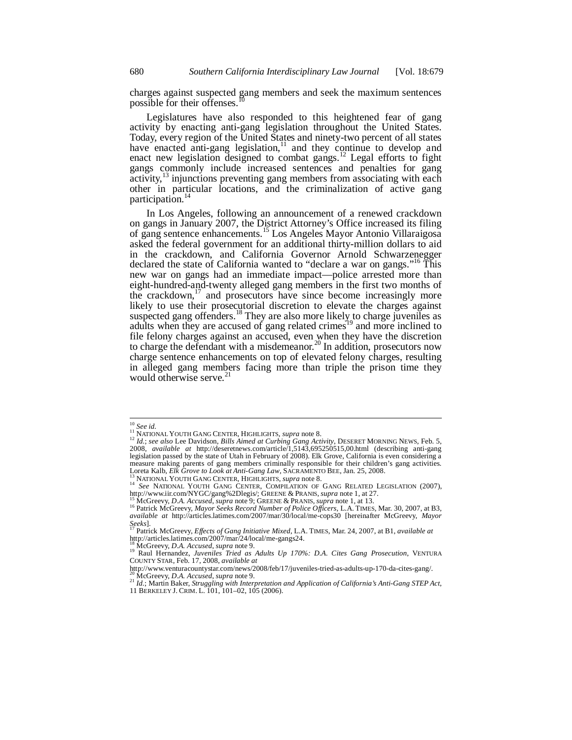charges against suspected gang members and seek the maximum sentences possible for their offenses.

Legislatures have also responded to this heightened fear of gang activity by enacting anti-gang legislation throughout the United States. Today, every region of the United States and ninety-two percent of all states have enacted anti-gang legislation, $11$  and they continue to develop and enact new legislation designed to combat gangs.<sup>12</sup> Legal efforts to fight gangs commonly include increased sentences and penalties for gang  $\arctivity$ <sup>13</sup> injunctions preventing gang members from associating with each other in particular locations, and the criminalization of active gang participation.<sup>14</sup>

In Los Angeles, following an announcement of a renewed crackdown on gangs in January 2007, the District Attorney's Office increased its filing of gang sentence enhancements.15 Los Angeles Mayor Antonio Villaraigosa asked the federal government for an additional thirty-million dollars to aid in the crackdown, and California Governor Arnold Schwarzenegger declared the state of California wanted to "declare a war on gangs."16 This new war on gangs had an immediate impact—police arrested more than eight-hundred-and-twenty alleged gang members in the first two months of the crackdown,<sup>17</sup> and prosecutors have since become increasingly more likely to use their prosecutorial discretion to elevate the charges against suspected gang offenders.<sup>18</sup> They are also more likely to charge juveniles as adults when they are accused of gang related crimes<sup>19</sup> and more inclined to file felony charges against an accused, even when they have the discretion to charge the defendant with a misdemeanor.<sup>20</sup> In addition, prosecutors now charge sentence enhancements on top of elevated felony charges, resulting in alleged gang members facing more than triple the prison time they would otherwise serve. $21$ 

 $^{10}$  See id.

<sup>&</sup>lt;sup>11 </sup> SEE <sup>ar.</sup><br><sup>12</sup> *Id.*; *see also* Lee Davidson, *Bills Aimed at Curbing Gang Activity*, DESERET MORNING NEWS, Feb. 5, 2008, *available at* http://deseretnews.com/article/1,5143,695250515,00.html (describing anti-gang legislation passed by the state of Utah in February of 2008). Elk Grove, California is even considering a measure making parents of gang members criminally responsible for their children's gang activities.<br>Loreta Kalb, Elk Grove to Look at Anti-Gang Law, SACRAMENTO BEE, Jan. 25, 2008.

<sup>&</sup>lt;sup>13</sup> NATIONAL YOUTH GANG CENTER, HIGHLIGHTS, *supra* note 8.<br><sup>14</sup> See NATIONAL YOUTH GANG CENTER, HIGHLIGHTS, *supra* note 8.<br><sup>14</sup> See NATIONAL YOUTH GANG CENTER, COMPILATION OF GANG RELATED LEGISLATION (2007),<br>http://www.

<sup>&</sup>lt;sup>15</sup> McGreevy, D.A. Accused, supra note 9; GREENE & PRANIS, supra note 1, at 13.<br><sup>15</sup> Patrick McGreevy, *D.A. Accused*, supra note 9; GREENE & PRANIS, supra note 1, at 13. *available at* http://articles.latimes.com/2007/mar/30/local/me-cops30 [hereinafter McGreevy, *Mayor* 

*Seeks*]. 17 Patrick McGreevy, *Effects of Gang Initiative Mixed*, L.A. TIMES, Mar. 24, 2007, at B1, *available at* http://articles.latimes.com/2007/mar/24/local/me-gangs24.

<sup>&</sup>lt;sup>18</sup> McGreevy, *D.A. Accused*, *supra* note 9. 19 Raul Hernandez, *Juveniles Tried as Adults Up 170%: D.A. Cites Gang Prosecution*, VENTURA COUNTY STAR, Feb. 17, 2008, *available at*

http://www.venturacountystar.com/news/2008/feb/17/juveniles-tried-as-adults-up-170-da-cites-gang/.<br><sup>20</sup> McGreevy, *D.A. Accused, supra* note 9.

<sup>20</sup> McGreevy, *D.A. Accused*, *supra* note 9. 21 *Id.*; Martin Baker, *Struggling with Interpretation and Application of California's Anti-Gang STEP Act*,

<sup>11</sup> BERKELEY J. CRIM. L. 101, 101–02, 105 (2006).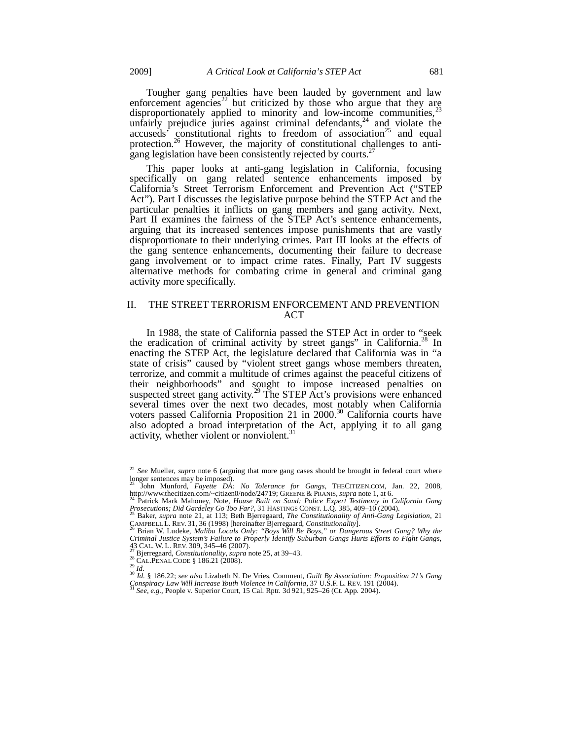Tougher gang penalties have been lauded by government and law enforcement agencies<sup>22</sup> but criticized by those who argue that they arg disproportionately applied to minority and low-income communities, $z^2$ unfairly prejudice juries against criminal defendants,  $24$  and violate the accuseds<sup>3</sup> constitutional rights to freedom of association<sup>25</sup> and equal protection.<sup>26</sup> However, the majority of constitutional challenges to antigang legislation have been consistently rejected by courts.<sup>27</sup>

This paper looks at anti-gang legislation in California, focusing specifically on gang related sentence enhancements imposed by California's Street Terrorism Enforcement and Prevention Act ("STEP Act"). Part I discusses the legislative purpose behind the STEP Act and the particular penalties it inflicts on gang members and gang activity. Next, Part II examines the fairness of the STEP Act's sentence enhancements, arguing that its increased sentences impose punishments that are vastly disproportionate to their underlying crimes. Part III looks at the effects of the gang sentence enhancements, documenting their failure to decrease gang involvement or to impact crime rates. Finally, Part IV suggests alternative methods for combating crime in general and criminal gang activity more specifically.

## II. THE STREET TERRORISM ENFORCEMENT AND PREVENTION ACT

In 1988, the state of California passed the STEP Act in order to "seek the eradication of criminal activity by street gangs" in California.<sup>28</sup> In enacting the STEP Act, the legislature declared that California was in "a state of crisis" caused by "violent street gangs whose members threaten, terrorize, and commit a multitude of crimes against the peaceful citizens of their neighborhoods" and sought to impose increased penalties on suspected street gang activity.<sup>29</sup> The STEP Act's provisions were enhanced several times over the next two decades, most notably when California voters passed California Proposition 21 in 2000.<sup>30</sup> California courts have also adopted a broad interpretation of the Act, applying it to all gang activity, whether violent or nonviolent.<sup>31</sup>

<sup>22</sup> *See* Mueller, *supra* note 6 (arguing that more gang cases should be brought in federal court where longer sentences may be imposed).

<sup>&</sup>lt;sup>23</sup> John Munford, *Fayette DA: No Tolerance for Gangs*, THECITIZEN.COM, Jan. 22, 2008, http://www.thecitizen.com/~citizen0/node/24719; GREENE & PRANIS, *supra* note 1, at 6. http://www.thecitizen.com/~citizen0/node/24719; GREENE & PRANIS, *supra* note 1, at 6. 24 Patrick Mark Mahoney, Note, *House Built on Sand: Police Expert Testimony in California Gang* 

*Prosecutions; Did Gardeley Go Too Far?*, 31 HASTINGS CONST. L.Q. 385, 409–10 (2004). 25 Baker, *supra* note 21, at 113; Beth Bjerregaard, *The Constitutionality of Anti-Gang Legislation*, 21

CAMPBELL L. REV. 31, 36 (1998) [hereinafter Bjerregaard, *Constitutionality*]. 26 Brian W. Ludeke, *Malibu Locals Only: "Boys Will Be Boys," or Dangerous Street Gang? Why the* 

*Criminal Justice System's Failure to Properly Identify Suburban Gangs Hurts Efforts to Fight Gangs*,<br>
43 CAL. W. L. REV. 309, 345-46 (2007).<br>
<sup>27</sup> Pierrescent Cangtitutionality suppressed Constitutionality suppressed 25 a

<sup>&</sup>lt;sup>27</sup> Bjerregaard, *Constitutionality*, *supra* note 25, at 39–43.<br><sup>28</sup> CAL.PENAL CODE § 186.21 (2008).<br><sup>29</sup> Id. § 186.22; *see also* Lizabeth N. De Vries, Comment, *Guilt By Association: Proposition 21's Gang*<br><sup>30</sup> Id. § *Conspiracy Law Will Increase Youth Violence in California*, 37 U.S.F. L. REV. 191 (2004). 31 *See, e.g.*, People v. Superior Court, 15 Cal. Rptr. 3d 921, 925–26 (Ct. App. 2004).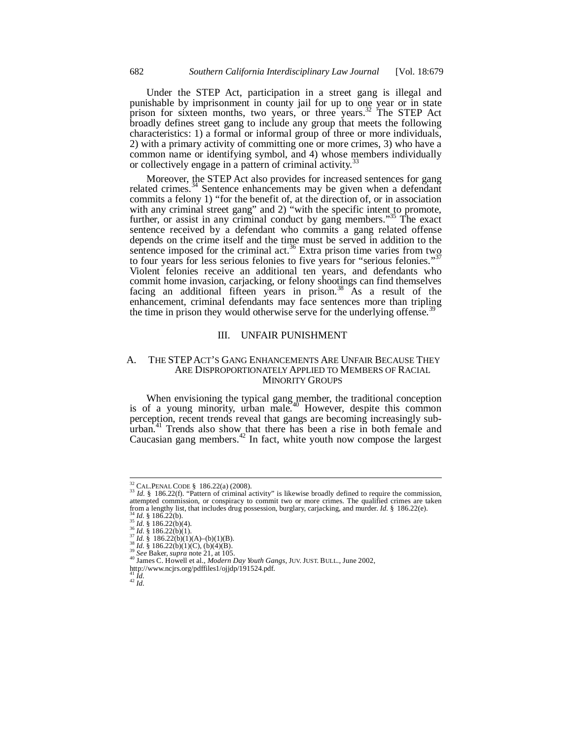Under the STEP Act, participation in a street gang is illegal and punishable by imprisonment in county jail for up to one year or in state prison for sixteen months, two years, or three years.<sup>32</sup> The STEP Act broadly defines street gang to include any group that meets the following characteristics: 1) a formal or informal group of three or more individuals, 2) with a primary activity of committing one or more crimes, 3) who have a common name or identifying symbol, and 4) whose members individually or collectively engage in a pattern of criminal activity.<sup>3</sup>

Moreover, the STEP Act also provides for increased sentences for gang related crimes.<sup>34</sup> Sentence enhancements may be given when a defendant commits a felony 1) "for the benefit of, at the direction of, or in association with any criminal street gang" and 2) "with the specific intent to promote, further, or assist in any criminal conduct by gang members."<sup>35</sup> The exact sentence received by a defendant who commits a gang related offense depends on the crime itself and the time must be served in addition to the sentence imposed for the criminal act.<sup>36</sup> Extra prison time varies from two to four years for less serious felonies to five years for "serious felonies."<sup>37</sup> Violent felonies receive an additional ten years, and defendants who commit home invasion, carjacking, or felony shootings can find themselves facing an additional fifteen years in prison.<sup>38</sup> As a result of the enhancement, criminal defendants may face sentences more than tripling the time in prison they would otherwise serve for the underlying offense.<sup>39</sup>

#### III. UNFAIR PUNISHMENT

## A. THE STEPACT'S GANG ENHANCEMENTS ARE UNFAIR BECAUSE THEY ARE DISPROPORTIONATELY APPLIED TO MEMBERS OF RACIAL MINORITY GROUPS

When envisioning the typical gang member, the traditional conception is of a young minority, urban male.<sup>40</sup> However, despite this common perception, recent trends reveal that gangs are becoming increasingly suburban.<sup>41</sup> Trends also show that there has been a rise in both female and Caucasian gang members. $42$  In fact, white youth now compose the largest

<sup>&</sup>lt;sup>32</sup> CAL.PENAL CODE § 186.22(a) (2008).

 $^{33}$  *Id.* § 186.22(f). "Pattern of criminal activity" is likewise broadly defined to require the commission, attempted commission, or conspiracy to commit two or more crimes. The qualified crimes are taken<br>from a lengthy list, that includes drug possession, burglary, carjacking, and murder. *Id.* § 186.22(e). <sup>34</sup> *Id.* § 186.22(b).<br>
<sup>35</sup> *Id.* § 186.22(b)(4).<br>
<sup>37</sup> *Id.* § 186.22(b)(1)(A)–(b)(1)(B).<br>
<sup>37</sup> *Id.* § 186.22(b)(1)(A)–(b)(1)(B).<br>
<sup>38</sup> *Id.* § 186.22(b)(1)(C), (b)(4)(B).<br>
<sup>39</sup> *See* Baker, *supra* note 21, at 105.<br>

http://www.ncjrs.org/pdffiles1/ojjdp/191524.pdf.

 $^{42}\dot{1d}.$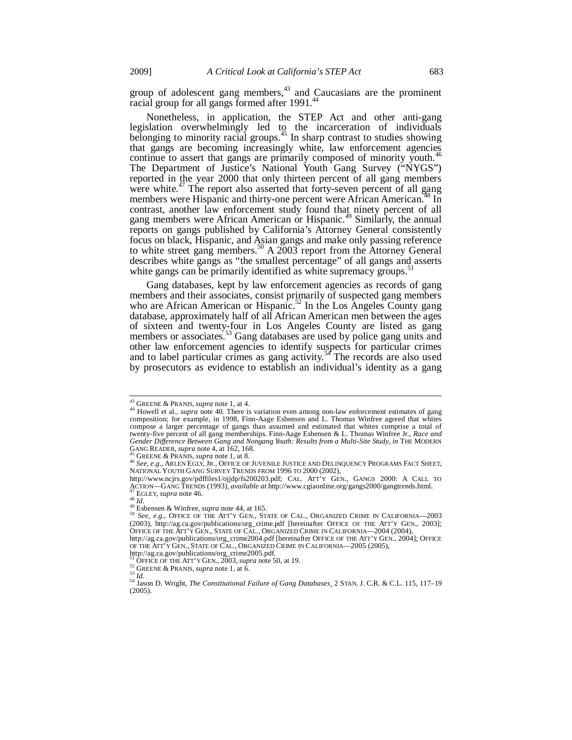group of adolescent gang members, $43$  and Caucasians are the prominent racial group for all gangs formed after 1991.<sup>44</sup>

Nonetheless, in application, the STEP Act and other anti-gang legislation overwhelmingly led to the incarceration of individuals belonging to minority racial groups.<sup>45</sup> In sharp contrast to studies showing that gangs are becoming increasingly white, law enforcement agencies continue to assert that gangs are primarily composed of minority youth.<sup>4</sup> The Department of Justice's National Youth Gang Survey ("NYGS") reported in the year 2000 that only thirteen percent of all gang members were white.<sup>47</sup> The report also asserted that forty-seven percent of all gang members were Hispanic and thirty-one percent were African American.<sup>48</sup> In contrast, another law enforcement study found that ninety percent of all gang members were African American or Hispanic.<sup>49</sup> Similarly, the annual reports on gangs published by California's Attorney General consistently focus on black, Hispanic, and Asian gangs and make only passing reference to white street gang members.<sup>50</sup> A  $2003$  report from the Attorney General describes white gangs as "the smallest percentage" of all gangs and asserts white gangs can be primarily identified as white supremacy groups. $\frac{1}{2}$ 

Gang databases, kept by law enforcement agencies as records of gang members and their associates, consist primarily of suspected gang members who are African American or Hispanic.<sup>52</sup> In the Los Angeles County gang database, approximately half of all African American men between the ages of sixteen and twenty-four in Los Angeles County are listed as gang members or associates.<sup>33</sup> Gang databases are used by police gang units and other law enforcement agencies to identify suspects for particular crimes and to label particular crimes as gang activity.<sup>54</sup> The records are also used by prosecutors as evidence to establish an individual's identity as a gang

OF THE ATT'Y GEN., STATE OF CAL., ORGANIZED CRIME IN CALIFORNIA—2005 (2005),

<sup>&</sup>lt;sup>43</sup> GREENE & PRANIS, *supra* note 1, at 4.

<sup>44</sup> Howell et al., *supra* note 40. There is variation even among non-law enforcement estimates of gang composition; for example, in 1998, Finn-Aage Esbensen and L. Thomas Winfree agreed that whites compose a larger percentage of gangs than assumed and estimated that whites comprise a total of twenty-five percent of all gang memberships. Finn-Aage Esbensen & L. Thomas Winfree Jr., *Race and Gender Difference Between Gang and Nongang Youth: Results from a Multi-Site Study*, *in* THE MODERN

<sup>&</sup>lt;sup>45</sup> GREENE & PRANIS, *supra* note 1, at 8.<br><sup>46</sup> GREENE & PRANIS, *supra* note 1, at 8.<br><sup>46</sup> See, e.g., ARLEN EGLY, JR., OFFICE OF JUVENILE JUSTICE AND DELINQUENCY PROGRAMS FACT SHEET,<br>NATIONAL YOUTH GANG SURVEY TRENDS FRO

http://www.ncjrs.gov/pdffiles1/ojjdp/fs200203.pdf; CAL. ATT'Y GEN., GANGS 2000: A CALL TO<br>ACTION—GANG TRENDS (1993), *available at* http://www.cgiaonline.org/gangs2000/gangtrends.html.

AT LION—GANG TRENDS (1995), *avandole at http://www.cgaomine.org/gangs2000/ganguends.html.*<br>  $^{47}$  EGLEY, *supra* note 46.<br>  $^{48}$  Id.<br>  $^{49}$  Esbensen & Winfree, *supra* note 44, at 165.<br>  $^{50}$  See, e.g., OFFICE OF THE (2003), http://ag.ca.gov/publications/org\_crime.pdf [hereinafter OFFICE OF THE ATT'Y GEN., 2003]; OFFICE OF THE ATT'Y GEN., STATE OF CAL., ORGANIZED CRIME IN CALIFORNIA—2004 (2004), http://ag.ca.gov/publications/org\_crime2004.pdf [hereinafter OFFICE OF THE ATT'Y GEN., 2004]; OFFICE

http://ag.ca.gov/publications/org\_crime2005.pdf.<br><sup>51</sup> OFFICE OF THE ATT'Y GEN., 2003, *supra* note 50, at 19.

So GREENE & PRANIS, *supra* note 1, at 6.<br>
<sup>53</sup> *Id.*<br>
<sup>54</sup> Jason D. Wright, *The Constitutional Failure of Gang Databases*, 2 STAN. J. C.R. & C.L. 115, 117–19 (2005).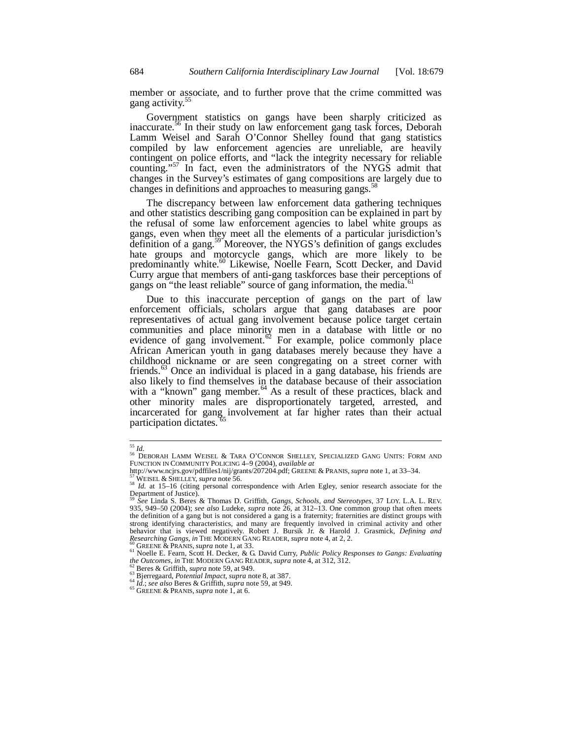member or associate, and to further prove that the crime committed was gang activity.<sup>55</sup>

Government statistics on gangs have been sharply criticized as inaccurate.56 In their study on law enforcement gang task forces, Deborah Lamm Weisel and Sarah O'Connor Shelley found that gang statistics compiled by law enforcement agencies are unreliable, are heavily contingent on police efforts, and "lack the integrity necessary for reliable counting."<sup>57</sup> In fact, even the administrators of the NYGS admit that changes in the Survey's estimates of gang compositions are largely due to changes in definitions and approaches to measuring gangs.<sup>5</sup>

The discrepancy between law enforcement data gathering techniques and other statistics describing gang composition can be explained in part by the refusal of some law enforcement agencies to label white groups as gangs, even when they meet all the elements of a particular jurisdiction's definition of a gang.<sup>59</sup> Moreover, the NYGS's definition of gangs excludes hate groups and motorcycle gangs, which are more likely to be predominantly white.<sup>60</sup> Likewise, Noelle Fearn, Scott Decker, and David Curry argue that members of anti-gang taskforces base their perceptions of gangs on "the least reliable" source of gang information, the media.

Due to this inaccurate perception of gangs on the part of law enforcement officials, scholars argue that gang databases are poor representatives of actual gang involvement because police target certain communities and place minority men in a database with little or no evidence of gang involvement.<sup> $\sigma$ </sup> For example, police commonly place African American youth in gang databases merely because they have a childhood nickname or are seen congregating on a street corner with friends.<sup>63</sup> Once an individual is placed in a gang database, his friends are also likely to find themselves in the database because of their association with a "known" gang member.<sup>64</sup> As a result of these practices, black and other minority males are disproportionately targeted, arrested, and incarcerated for gang involvement at far higher rates than their actual participation dictates.

 $^{\rm 55}$   $ld.$ 

<sup>55</sup> *Id.* 56 DEBORAH LAMM WEISEL & TARA O'CONNOR SHELLEY, SPECIALIZED GANG UNITS: FORM AND FUNCTION IN COMMUNITY POLICING 4–9 (2004), *available at*

WEISEL & SHELLEY, supra note 56.<br>
<sup>57</sup>WEISEL & SHELLEY, supra note 56.<br>
<sup>58</sup> Id. at 15–16 (citing personal correspondence with Arlen Egley, senior research associate for the Department of Justice).

<sup>59</sup> *See* Linda S. Beres & Thomas D. Griffith, *Gangs, Schools, and Stereotypes*, 37 LOY. L.A. L. REV. 935, 949–50 (2004); *see also* Ludeke, *supra* note 26, at 312–13. One common group that often meets the definition of a gang but is not considered a gang is a fraternity; fraternities are distinct groups with strong identifying characteristics, and many are frequently involved in criminal activity and other behavior that is viewed negatively. Robert J. Bursik Jr. & Harold J. Grasmick, *Defining and* 

Researching Gangs, in THE MODERN GANG READER, supra note 4, at 2, 2.<br><sup>60</sup> GREENE & PRANIS, supra note 1, at 33.<br><sup>61</sup> Noelle E. Fearn, Scott H. Decker, & G. David Curry, *Public Policy Responses to Gangs: Evaluating the Out* 

<sup>&</sup>lt;sup>62</sup> Beres & Griffith, *supra* note 59, at 949.<br><sup>63</sup> Bjerregaard, *Potential Impact*, *supra* note 8, at 387.<br><sup>64</sup> *Id.*; *see also* Beres & Griffith, *supra* note 59, at 949.<br><sup>65</sup> GREENE & PRANIS, *supra* note 1, at 6.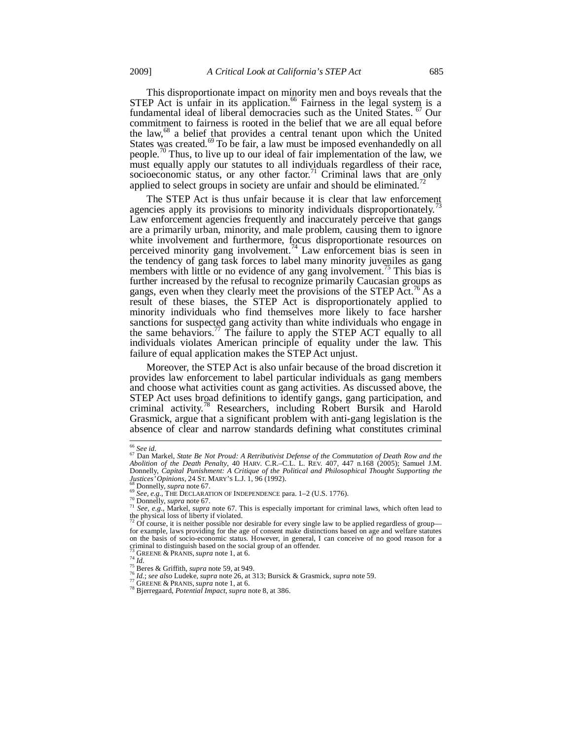This disproportionate impact on minority men and boys reveals that the STEP Act is unfair in its application.<sup>66</sup> Fairness in the legal system is a fundamental ideal of liberal democracies such as the United States. <sup>67</sup> Our commitment to fairness is rooted in the belief that we are all equal before the law,<sup>68</sup> a belief that provides a central tenant upon which the United States was created.<sup>69</sup> To be fair, a law must be imposed evenhandedly on all people.<sup>70</sup> Thus, to live up to our ideal of fair implementation of the law, we must equally apply our statutes to all individuals regardless of their race, socioeconomic status, or any other factor.<sup>71</sup> Criminal laws that are only applied to select groups in society are unfair and should be eliminated.<sup>72</sup>

The STEP Act is thus unfair because it is clear that law enforcement agencies apply its provisions to minority individuals disproportionately.<sup>7</sup> Law enforcement agencies frequently and inaccurately perceive that gangs are a primarily urban, minority, and male problem, causing them to ignore white involvement and furthermore, focus disproportionate resources on perceived minority gang involvement.<sup>74</sup> Law enforcement bias is seen in the tendency of gang task forces to label many minority juveniles as gang members with little or no evidence of any gang involvement.<sup>75</sup> This bias is further increased by the refusal to recognize primarily Caucasian groups as gangs, even when they clearly meet the provisions of the STEP Act.<sup>76</sup> As a result of these biases, the STEP Act is disproportionately applied to minority individuals who find themselves more likely to face harsher sanctions for suspected gang activity than white individuals who engage in the same behaviors.<sup> $77$ </sup> The failure to apply the STEP ACT equally to all individuals violates American principle of equality under the law. This failure of equal application makes the STEP Act unjust.

Moreover, the STEP Act is also unfair because of the broad discretion it provides law enforcement to label particular individuals as gang members and choose what activities count as gang activities. As discussed above, the STEP Act uses broad definitions to identify gangs, gang participation, and criminal activity.<sup>78</sup> Researchers, including Robert Bursik and Harold Grasmick, argue that a significant problem with anti-gang legislation is the absence of clear and narrow standards defining what constitutes criminal

 $^{66}$  See id.

<sup>&</sup>lt;sup>66</sup> See id.<br><sup>67</sup> Dan Markel, State Be Not Proud: A Retributivist Defense of the Commutation of Death Row and the<br>Abolition of the Death Penalty, 40 HARV. C.R.–C.L. L. REV. 407, 447 n.168 (2005); Samuel J.M. Donnelly, *Capital Punishment: A Critique of the Political and Philosophical Thought Supporting the Sustices' Opinions*, 24 ST. MARY'S L.J. 1, 96 (1992).

*Justices' Opinions*, 24 ST. MARY'S L.J. 1, 96 (1992).<br><sup>68</sup> Donnelly, *supra* note 67.<br><sup>69</sup> See, e.g., THE DECLARATION OF INDEPENDENCE para. 1–2 (U.S. 1776).<br><sup>70</sup> See, e.g., Markel, *supra* note 67.<br><sup>71</sup> See, e.g., Markel

on the basis of socio-economic status. However, in general, I can conceive of no good reason for a criminal to distinguish based on the social group of an offender.<br><sup>73</sup> GREENE & PRANIS, *supra* note 1, at 6.<br><sup>74</sup> Id.

<sup>&</sup>lt;sup>75</sup> Beres & Griffith, *supra* note 59, at 949.<br><sup>76</sup> *Id.*; *see also* Ludeke, *supra* note 26, at 313; Bursick & Grasmick, *supra* note 59.<br><sup>77</sup> GREENE & PRANIS, *supra* note 1, at 6.<br><sup>78</sup> Bjerregaard, *Potential Impact*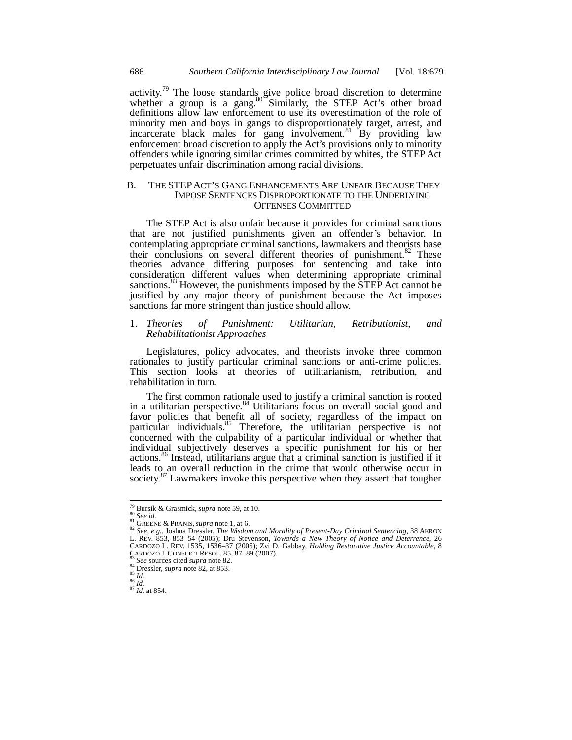activity.<sup>79</sup> The loose standards give police broad discretion to determine whether a group is a gang. $80^\circ$  Similarly, the STEP Act's other broad definitions allow law enforcement to use its overestimation of the role of minority men and boys in gangs to disproportionately target, arrest, and incarcerate black males for gang involvement.<sup>81</sup> By providing law enforcement broad discretion to apply the Act's provisions only to minority offenders while ignoring similar crimes committed by whites, the STEP Act perpetuates unfair discrimination among racial divisions.

## B. THE STEPACT'S GANG ENHANCEMENTS ARE UNFAIR BECAUSE THEY IMPOSE SENTENCES DISPROPORTIONATE TO THE UNDERLYING OFFENSES COMMITTED

The STEP Act is also unfair because it provides for criminal sanctions that are not justified punishments given an offender's behavior. In contemplating appropriate criminal sanctions, lawmakers and theorists base their conclusions on several different theories of punishment.<sup>82</sup> These theories advance differing purposes for sentencing and take into consideration different values when determining appropriate criminal sanctions.<sup>83</sup> However, the punishments imposed by the STEP Act cannot be justified by any major theory of punishment because the Act imposes sanctions far more stringent than justice should allow.

## 1. *Theories of Punishment: Utilitarian, Retributionist, and Rehabilitationist Approaches*

Legislatures, policy advocates, and theorists invoke three common rationales to justify particular criminal sanctions or anti-crime policies. This section looks at theories of utilitarianism, retribution, and rehabilitation in turn.

The first common rationale used to justify a criminal sanction is rooted in a utilitarian perspective.<sup>84</sup> Utilitarians focus on overall social good and favor policies that benefit all of society, regardless of the impact on particular individuals.<sup>85</sup> Therefore, the utilitarian perspective is not concerned with the culpability of a particular individual or whether that individual subjectively deserves a specific punishment for his or her actions.86 Instead, utilitarians argue that a criminal sanction is justified if it leads to an overall reduction in the crime that would otherwise occur in society.<sup>87</sup> Lawmakers invoke this perspective when they assert that tougher

<sup>&</sup>lt;sup>79</sup> Bursik & Grasmick, *supra* note 59, at 10.<br><sup>80</sup> See id.

<sup>&</sup>lt;sup>81</sup> GREENE & PRANIS, *supra* note 1, at 6.<br><sup>82</sup> See, e.g., Joshua Dressler, *The Wisdom and Morality of Present-Day Criminal Sentencing*, 38 AKRON L. REV. 853, 853–54 (2005); Dru Stevenson, *Towards a New Theory of Notice and Deterrence*, 26 CARDOZO L. REV. 1535, 1536–37 (2005); Zvi D. Gabbay, *Holding Restorative Justice Accountable*, 8<br>CARDOZO J. CONFLICT RESOL. 85, 87–89 (2007).<br><sup>83</sup> Sea sources sited www.scti. 85.

<sup>&</sup>lt;sup>83</sup> See sources cited *supra* note 82.<br><sup>85</sup> Dressler, *supra* note 82, at 853. 85<br><sup>86</sup> *Id.* 87 *Id.* at 854.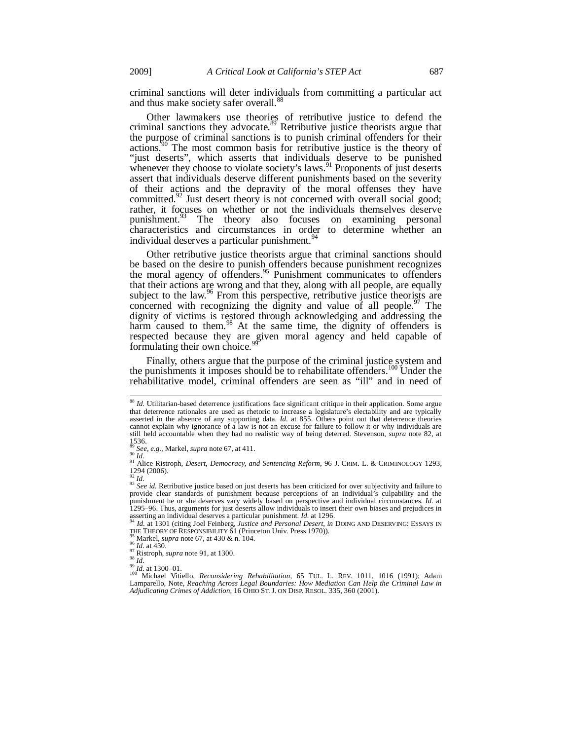criminal sanctions will deter individuals from committing a particular act and thus make society safer overall.<sup>88</sup>

Other lawmakers use theories of retributive justice to defend the criminal sanctions they advocate.<sup>89</sup> Retributive justice theorists argue that the purpose of criminal sanctions is to punish criminal offenders for their actions.90 The most common basis for retributive justice is the theory of "just deserts", which asserts that individuals deserve to be punished whenever they choose to violate society's laws.<sup>91</sup> Proponents of just deserts assert that individuals deserve different punishments based on the severity of their actions and the depravity of the moral offenses they have committed.<sup>92</sup> Just desert theory is not concerned with overall social good; rather, it focuses on whether or not the individuals themselves deserve punishment.<sup>93</sup> The theory also focuses on examining personal The theory also focuses on examining personal characteristics and circumstances in order to determine whether an individual deserves a particular punishment.<sup>94</sup>

Other retributive justice theorists argue that criminal sanctions should be based on the desire to punish offenders because punishment recognizes the moral agency of offenders.<sup>95</sup> Punishment communicates to offenders that their actions are wrong and that they, along with all people, are equally subject to the law. $96$  From this perspective, retributive justice theorists are concerned with recognizing the dignity and value of all people.<sup>97</sup> The dignity of victims is restored through acknowledging and addressing the harm caused to them.<sup>98</sup> At the same time, the dignity of offenders is respected because they are given moral agency and held capable of formulating their own choice.

Finally, others argue that the purpose of the criminal justice system and the punishments it imposes should be to rehabilitate offenders.<sup>100</sup> Under the rehabilitative model, criminal offenders are seen as "ill" and in need of

<sup>&</sup>lt;sup>88</sup> *Id.* Utilitarian-based deterrence justifications face significant critique in their application. Some argue that deterrence rationales are used as rhetoric to increase a legislature's electability and are typically asserted in the absence of any supporting data. *Id.* at 855. Others point out that deterrence theories cannot explain why ignorance of a law is not an excuse for failure to follow it or why individuals are still held accountable when they had no realistic way of being deterred. Stevenson, *supra* note 82, at  $1536.$ 

<sup>&</sup>lt;sup>89</sup> *See, e.g.*, Markel, *supra* note 67, at 411.<br><sup>90</sup> *Id.* 91 *Id.* 91 Alice Ristroph, *Desert, Democracy, and Sentencing Reform*, 96 J. CRIM. L. & CRIMINOLOGY 1293,  $\frac{1294}{92}$  (2006).

<sup>92</sup> *Id.* <sup>93</sup> *See id.* Retributive justice based on just deserts has been criticized for over subjectivity and failure to <sup>93</sup> *See id.* Retributive justice based on just deserts has been criticized for over subjectivity provide clear standards of punishment because perceptions of an individual's culpability and the punishment he or she deserves vary widely based on perspective and individual circumstances. *Id.* at 1295–96. Thus, arguments for just deserts allow individuals to insert their own biases and prejudices in

asserting an individual deserves a particular punishment. *Id.* at 1296.<br><sup>94</sup> *Id.* at 1301 (citing Joel Feinberg, *Justice and Personal Desert*, *in* DOING AND DESERVING: ESSAYS IN THE THEORY OF RESPONSIBILITY 61 (Princeton Univ. Press 1970)).<br><sup>95</sup> Markel, *supra* note 67, at 430 & n. 104.<br><sup>97</sup> Ristroph, *supra* note 91, at 1300.<br><sup>97</sup> Ristroph, *supra* note 91, at 1300.<br><sup>97</sup> Ristroph, supra note 91,

<sup>&</sup>lt;sup>100</sup> Michael Vitiello, *Reconsidering Rehabilitation*, 65 TUL. L. REV. 1011, 1016 (1991); Adam Lamparello, Note, *Reaching Across Legal Boundaries: How Mediation Can Help the Criminal Law in Adjudicating Crimes of Addiction*, 16 OHIO ST. J. ON DISP. RESOL. 335, 360 (2001).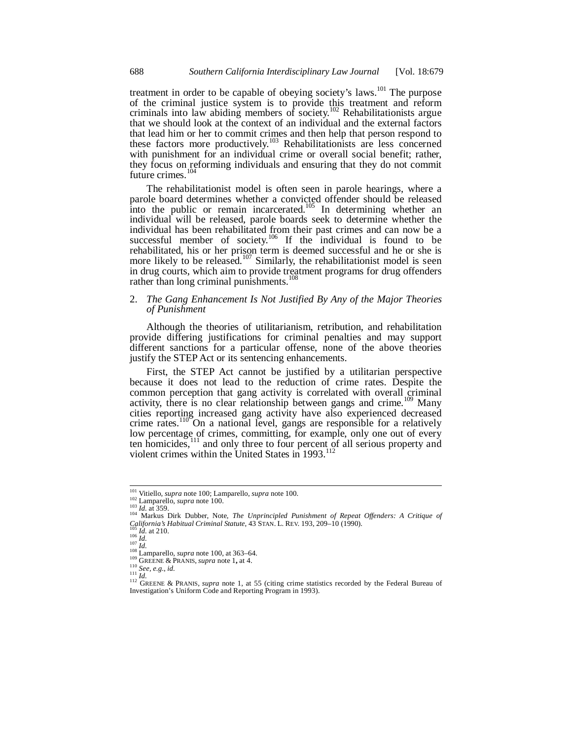treatment in order to be capable of obeying society's laws.<sup>101</sup> The purpose of the criminal justice system is to provide this treatment and reform criminals into law abiding members of society.<sup>102</sup> Rehabilitationists argue that we should look at the context of an individual and the external factors that lead him or her to commit crimes and then help that person respond to these factors more productively.<sup>103</sup> Rehabilitationists are less concerned with punishment for an individual crime or overall social benefit; rather, they focus on reforming individuals and ensuring that they do not commit future crimes. $10$ 

The rehabilitationist model is often seen in parole hearings, where a parole board determines whether a convicted offender should be released into the public or remain incarcerated.<sup>105</sup> In determining whether an individual will be released, parole boards seek to determine whether the individual has been rehabilitated from their past crimes and can now be a successful member of society.<sup>106</sup> If the individual is found to be rehabilitated, his or her prison term is deemed successful and he or she is more likely to be released.<sup>107</sup> Similarly, the rehabilitationist model is seen in drug courts, which aim to provide treatment programs for drug offenders rather than long criminal punishments.<sup>108</sup>

## 2. *The Gang Enhancement Is Not Justified By Any of the Major Theories of Punishment*

Although the theories of utilitarianism, retribution, and rehabilitation provide differing justifications for criminal penalties and may support different sanctions for a particular offense, none of the above theories justify the STEP Act or its sentencing enhancements.

First, the STEP Act cannot be justified by a utilitarian perspective because it does not lead to the reduction of crime rates. Despite the common perception that gang activity is correlated with overall criminal activity, there is no clear relationship between gangs and crime.<sup>109</sup> Many cities reporting increased gang activity have also experienced decreased crime rates.<sup>110</sup> On a national level, gangs are responsible for a relatively low percentage of crimes, committing, for example, only one out of every<br>ten homicides,<sup>111</sup> and only three to four percent of all serious property and ten homicides,<sup>111</sup> and only three to four percent of all serious property and violent crimes within the United States in 1993.<sup>112</sup>

 $^{101}$ Vitiello, supra note 100; Lamparello, supra note 100.

<sup>&</sup>lt;sup>102</sup> Lamparello, *supra note 100*, Lamparello, *supra note 100*.<br><sup>102</sup> Lamparello, *supra* note 100.<br><sup>103</sup> Id. at 359.<br>California's Habitual Criminal Statute, 43 STAN. L. REV. 193, 209–10 (1990).<br>California's Habitual Cri

<sup>105</sup> *Id.* at 210.<br>
106 *Id.*<br>
107 *Id.*<br>
107 *Id.*<br>
108 Lamparello, *supra* note 100, at 363–64.<br>
<sup>108</sup> Lamparello, *supra* note 1, at 4.<br>
<sup>110</sup> GREENE & PRANIS, *supra* note 1, at 55 (citing crime statistics recorded by Investigation's Uniform Code and Reporting Program in 1993).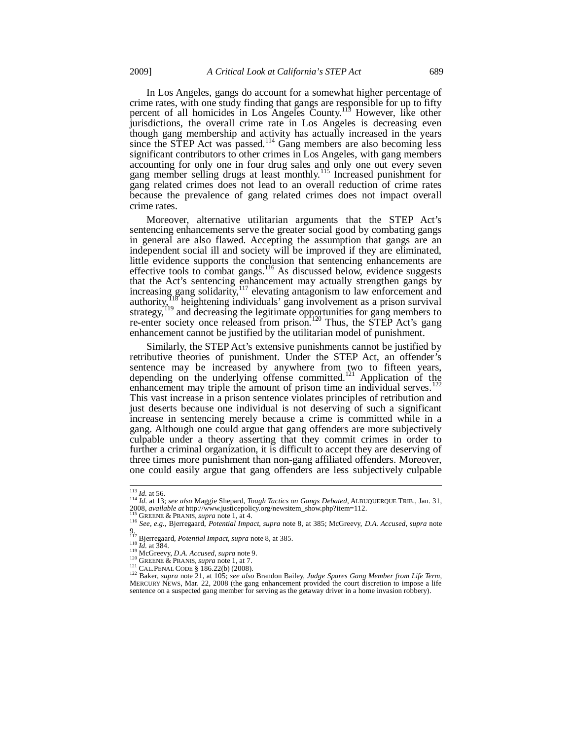In Los Angeles, gangs do account for a somewhat higher percentage of

crime rates, with one study finding that gangs are responsible for up to fifty percent of all homicides in Los Angeles County.<sup>113</sup> However, like other jurisdictions, the overall crime rate in Los Angeles is decreasing even though gang membership and activity has actually increased in the years since the STEP Act was passed.<sup>114</sup> Gang members are also becoming less significant contributors to other crimes in Los Angeles, with gang members accounting for only one in four drug sales and only one out every seven gang member selling drugs at least monthly.<sup>115</sup> Increased punishment for gang related crimes does not lead to an overall reduction of crime rates because the prevalence of gang related crimes does not impact overall crime rates.

Moreover, alternative utilitarian arguments that the STEP Act's sentencing enhancements serve the greater social good by combating gangs in general are also flawed. Accepting the assumption that gangs are an independent social ill and society will be improved if they are eliminated, little evidence supports the conclusion that sentencing enhancements are effective tools to combat gangs.<sup>116</sup> As discussed below, evidence suggests that the Act's sentencing enhancement may actually strengthen gangs by increasing gang solidarity,  $117$  elevating antagonism to law enforcement and authority,  $\frac{18}{18}$  heightening individuals' gang involvement as a prison survival strategy,<sup> $119$ </sup> and decreasing the legitimate opportunities for gang members to re-enter society once released from prison.<sup>120</sup> Thus, the STEP Act's gang enhancement cannot be justified by the utilitarian model of punishment.

Similarly, the STEP Act's extensive punishments cannot be justified by retributive theories of punishment. Under the STEP Act, an offender's sentence may be increased by anywhere from two to fifteen years, depending on the underlying offense committed.<sup>121</sup> Application of the enhancement may triple the amount of prison time an individual serves. This vast increase in a prison sentence violates principles of retribution and just deserts because one individual is not deserving of such a significant increase in sentencing merely because a crime is committed while in a gang. Although one could argue that gang offenders are more subjectively culpable under a theory asserting that they commit crimes in order to further a criminal organization, it is difficult to accept they are deserving of three times more punishment than non-gang affiliated offenders. Moreover, one could easily argue that gang offenders are less subjectively culpable

<sup>113</sup> *Id.* at 56. 114 *Id.* at 13; *see also* Maggie Shepard, *Tough Tactics on Gangs Debated*, ALBUQUERQUE TRIB., Jan. 31, 2008, available at http://www.justicepolicy.org/newsitem\_show.php?item=112.<br><sup>115</sup> GREENE & PRANIS, *supra* note 1, at 4.<br><sup>116</sup> See, e.g., Bjerregaard, *Potential Impact, supra* note 8, at 385; McGreevy, *D.A. Accused, supr* 

<sup>116</sup> See, e.g., Bjerregaard, Potential Impact, supra note 8, at 385; McGreevy, D.A. Accused, supra note 9,<br><sup>9.117</sup> Bjerregaard, Potential Impact, supra note 8, at 385.

<sup>&</sup>lt;sup>118</sup> *Id.* at 384.<br>
<sup>119</sup> McGreevy, *D.A. Accused, supra* note 9.<br>
<sup>120</sup> GREENE & PRANIS, *supra* note 1, at 7.<br>
<sup>121</sup> CAL.PENAL CODE § 186.22(b) (2008).<br>
<sup>122</sup> Baker, *supra* note 21, at 105; *see also* Brandon Bailey, MERCURY NEWS, Mar. 22, 2008 (the gang enhancement provided the court discretion to impose a life sentence on a suspected gang member for serving as the getaway driver in a home invasion robbery).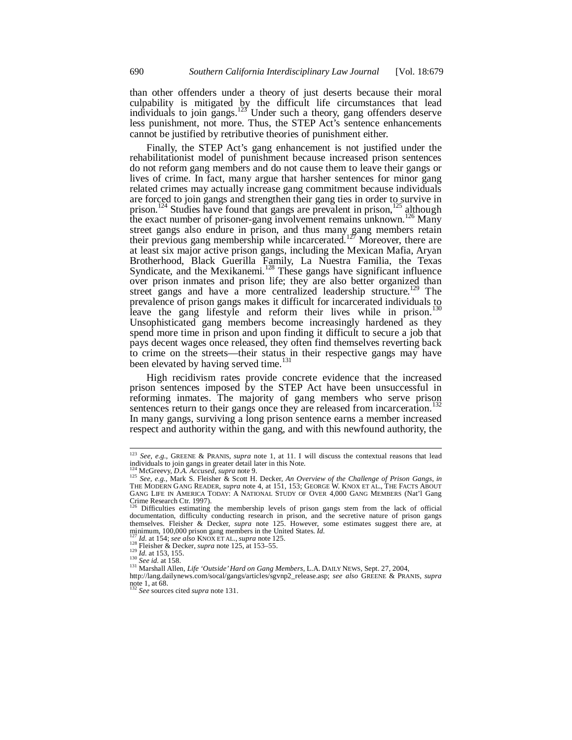than other offenders under a theory of just deserts because their moral culpability is mitigated by the difficult life circumstances that lead individuals to join gangs.<sup>123</sup> Under such a theory, gang offenders deserve less punishment, not more. Thus, the STEP Act's sentence enhancements cannot be justified by retributive theories of punishment either.

Finally, the STEP Act's gang enhancement is not justified under the rehabilitationist model of punishment because increased prison sentences do not reform gang members and do not cause them to leave their gangs or lives of crime. In fact, many argue that harsher sentences for minor gang related crimes may actually increase gang commitment because individuals are forced to join gangs and strengthen their gang ties in order to survive in prison.<sup>124</sup> Studies have found that gangs are prevalent in prison,<sup>125</sup> although the exact number of prisoner-gang involvement remains unknown.<sup>126</sup> Many street gangs also endure in prison, and thus many gang members retain their previous gang membership while incarcerated.<sup>127</sup> Moreover, there are at least six major active prison gangs, including the Mexican Mafia, Aryan Brotherhood, Black Guerilla Family, La Nuestra Familia, the Texas Syndicate, and the Mexikanemi.<sup>128</sup> These gangs have significant influence over prison inmates and prison life; they are also better organized than street gangs and have a more centralized leadership structure.<sup>129</sup> The prevalence of prison gangs makes it difficult for incarcerated individuals to leave the gang lifestyle and reform their lives while in prison.<sup>130</sup> Unsophisticated gang members become increasingly hardened as they spend more time in prison and upon finding it difficult to secure a job that pays decent wages once released, they often find themselves reverting back to crime on the streets—their status in their respective gangs may have been elevated by having served time.<sup>131</sup>

High recidivism rates provide concrete evidence that the increased prison sentences imposed by the STEP Act have been unsuccessful in reforming inmates. The majority of gang members who serve prison sentences return to their gangs once they are released from incarceration.<sup>132</sup> In many gangs, surviving a long prison sentence earns a member increased respect and authority within the gang, and with this newfound authority, the

j

<sup>123</sup> *See, e.g.*, GREENE & PRANIS, *supra* note 1, at 11. I will discuss the contextual reasons that lead individuals to join gangs in greater detail later in this Note.

<sup>124</sup> McGreevy, *D.A. Accused*, *supra* note 9.<br><sup>125</sup> *See, e.g.*, Mark S. Fleisher & Scott H. Decker, *An Overview of the Challenge of Prison Gangs*, *in*<sup>125</sup> *See, e.g.*, Mark S. Fleisher & Scott H. Decker, *An Overview o* THE MODERN GANG READER, *supra* note 4, at 151, 153; GEORGE W. KNOX ET AL., THE FACTS ABOUT GANG LIFE IN AMERICA TODAY: A NATIONAL STUDY OF OVER 4,000 GANG MEMBERS (Nat'l Gang Crime Research Ctr. 1997).

<sup>126</sup> Difficulties estimating the membership levels of prison gangs stem from the lack of official documentation, difficulty conducting research in prison, and the secretive nature of prison gangs themselves. Fleisher & Decker, *supra* note 125. However, some estimates suggest there are, at minimum, 100,000 prison gang members in the United States. *Id.* 

<sup>&</sup>lt;sup>127</sup> *Id.* at 154; see also KNOX ET AL., supra note 125.<br><sup>128</sup> Fleisher & Decker, *supra* note 125, at 153–55.<br><sup>129</sup> *Id.* at 153, 155.<br><sup>130</sup> *See id.* at 158.<br><sup>130</sup> *See id.* at 158.<br><sup>131</sup> Marshall Allen, *Life 'Outside* http://lang.dailynews.com/socal/gangs/articles/sgvnp2\_release.asp; *see also* GREENE & PRANIS, *supra* 

note 1, at 68. <sup>132</sup> *See* sources cited *supra* note 131.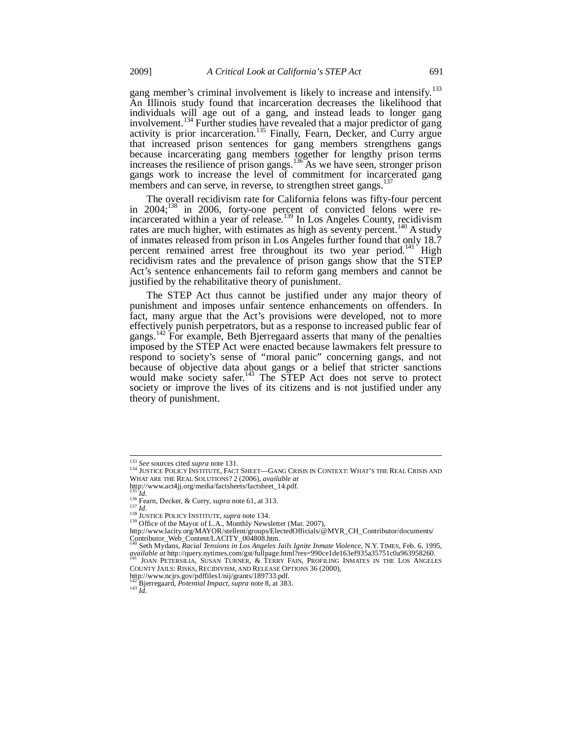gang member's criminal involvement is likely to increase and intensify.<sup>133</sup> An Illinois study found that incarceration decreases the likelihood that individuals will age out of a gang, and instead leads to longer gang involvement.<sup>134</sup> Further studies have revealed that a major predictor of gang activity is prior incarceration.<sup>135</sup> Finally, Fearn, Decker, and Curry argue that increased prison sentences for gang members strengthens gangs because incarcerating gang members together for lengthy prison terms increases the resilience of prison gangs.<sup>136</sup>As we have seen, stronger prison gangs work to increase the level of commitment for incarcerated gang members and can serve, in reverse, to strengthen street gangs.<sup>13</sup>

The overall recidivism rate for California felons was fifty-four percent in 2004; $^{138}$  in 2006, forty-one percent of convicted felons were reincarcerated within a year of release.<sup>139</sup> In Los Angeles County, recidivism rates are much higher, with estimates as high as seventy percent.<sup>140</sup> A study of inmates released from prison in Los Angeles further found that only 18.7 percent remained arrest free throughout its two year period.<sup>141</sup> High recidivism rates and the prevalence of prison gangs show that the STEP Act's sentence enhancements fail to reform gang members and cannot be justified by the rehabilitative theory of punishment.

The STEP Act thus cannot be justified under any major theory of punishment and imposes unfair sentence enhancements on offenders. In fact, many argue that the Act's provisions were developed, not to more effectively punish perpetrators, but as a response to increased public fear of gangs.<sup>142</sup> For example, Beth Bjerregaard asserts that many of the penalties imposed by the STEP Act were enacted because lawmakers felt pressure to respond to society's sense of "moral panic" concerning gangs, and not because of objective data about gangs or a belief that stricter sanctions would make society safer.<sup>143</sup> The STEP Act does not serve to protect society or improve the lives of its citizens and is not justified under any theory of punishment.

142 Bjerregaard, *Potential Impact*, *supra* note 8, at 383. 143 *Id.*

<sup>&</sup>lt;sup>133</sup> See sources cited supra note 131.

<sup>133</sup> *See* sources cited *supra* note 131. 134 JUSTICE POLICY INSTITUTE, FACT SHEET—GANG CRISIS IN CONTEXT: WHAT'S THE REAL CRISIS AND WHAT ARE THE REAL SOLUTIONS? 2 (2006), *available at*

http://www.act4jj.org/media/factsheets/factsheet\_14.pdf.

<sup>&</sup>lt;sup>135</sup><sup>1</sup>Id.<br><sup>136</sup> Fearn, Decker, & Curry, *supra* note 61, at 313.<br><sup>137</sup> Id.<br><sup>138</sup> JUSTICE POLICY INSTITUTE, *supra* note 134.<br><sup>139</sup> Office of the Mayor of L.A., Monthly Newsletter (Mar. 2007),<br>http://www.lacity.org/MAYOR/ Contributor\_Web\_Content/LACITY\_004808.htm. 140 Seth Mydans, *Racial Tensions in Los Angeles Jails Ignite Inmate Violence*, N.Y. TIMES, Feb. 6, 1995,

*available at* http://query.nytimes.com/gst/fullpage.html?res=990ce1de163ef935a35751c0a963958260. 141 JOAN PETERSILIA, SUSAN TURNER, & TERRY FAIN, PROFILING INMATES IN THE LOS ANGELES COUNTY JAILS: RISKS, RECIDIVISM, AND RELEASE OPTIONS 36 (2000),

http://www.ncjrs.gov/pdffiles1/nij/grants/189733.pdf.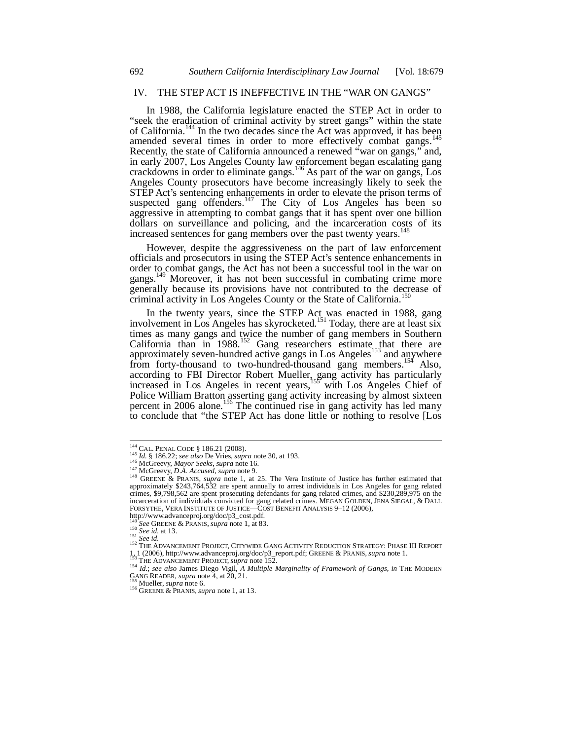## IV. THE STEP ACT IS INEFFECTIVE IN THE "WAR ON GANGS"

In 1988, the California legislature enacted the STEP Act in order to "seek the eradication of criminal activity by street gangs" within the state of California.<sup>144</sup> In the two decades since the Act was approved, it has been amended several times in order to more effectively combat gangs.<sup>1</sup> Recently, the state of California announced a renewed "war on gangs," and, in early 2007, Los Angeles County law enforcement began escalating gang crackdowns in order to eliminate gangs.<sup>146</sup> As part of the war on gangs, Los Angeles County prosecutors have become increasingly likely to seek the STEP Act's sentencing enhancements in order to elevate the prison terms of suspected gang offenders.<sup>147</sup> The City of Los Angeles has been so aggressive in attempting to combat gangs that it has spent over one billion dollars on surveillance and policing, and the incarceration costs of its increased sentences for gang members over the past twenty years.<sup>1</sup>

However, despite the aggressiveness on the part of law enforcement officials and prosecutors in using the STEP Act's sentence enhancements in order to combat gangs, the Act has not been a successful tool in the war on gangs.<sup>149</sup> Moreover, it has not been successful in combating crime more generally because its provisions have not contributed to the decrease of criminal activity in Los Angeles County or the State of California.<sup>150</sup>

In the twenty years, since the STEP Act was enacted in 1988, gang involvement in Los Angeles has skyrocketed.<sup>151</sup> Today, there are at least six times as many gangs and twice the number of gang members in Southern California than in  $1988$ <sup>152</sup> Gang researchers estimate that there are approximately seven-hundred active gangs in Los Angeles<sup>153</sup> and anywhere from forty-thousand to two-hundred-thousand gang members.<sup>154</sup> Also, according to FBI Director Robert Mueller, gang activity has particularly increased in Los Angeles in recent years,<sup>155</sup> with Los Angeles Chief of Police William Bratton asserting gang activity increasing by almost sixteen percent in 2006 alone.<sup>156</sup> The continued rise in gang activity has led many to conclude that "the STEP Act has done little or nothing to resolve [Los

 $^{144}$  CAL. PENAL CODE  $\,$  186.21 (2008).

<sup>&</sup>lt;sup>144</sup> CAL. PENAL CODE § 186.21 (2008).<br><sup>145</sup> *Id.* § 186.22; *see also* De Vries, *supra* note 30, at 193.<br><sup>146</sup> McGreevy, *Mayor Seeks, supra* note 16.<br><sup>147</sup> McGreevy, *D.A. Accused, supra* note 9.<br><sup>147</sup> GREENE & PRANIS, crimes, \$9,798,562 are spent prosecuting defendants for gang related crimes, and \$230,289,975 on the incarceration of individuals convicted for gang related crimes. MEGAN GOLDEN, JENA SIEGAL, & DALL FORSYTHE, VERA INSTITUTE OF JUSTICE—COST BENEFIT ANALYSIS 9–12 (2006),

http://www.advanceproj.org/doc/p3\_cost.pdf.<br><sup>149</sup> See GREENE & PRANIS, *supra* note 1, at 83.<br><sup>150</sup> See id. at 13.

<sup>151</sup> *See id.* at 15.<br>
152 *See id.*<br>
152 THE ADVANCEMENT PROJECT, CITYWIDE GANG ACTIVITY REDUCTION STRATEGY: PHASE III REPORT

<sup>1.1 (2006),</sup> http://www.advanceproj.org/doc/p3\_report.pdf; GREENE & PRANIS, *supra* note 1.<br><sup>153</sup> THE ADVANCEMENT PROJECT, *supra* note 152.<br><sup>154</sup> Id.; *see also* James Diego Vigil, *A Multiple Marginality of Framework of* 

<sup>&</sup>lt;sup>155</sup> Mueller, *supra* note 6.<br><sup>156</sup> GREENE & PRANIS, *supra* note 1, at 13.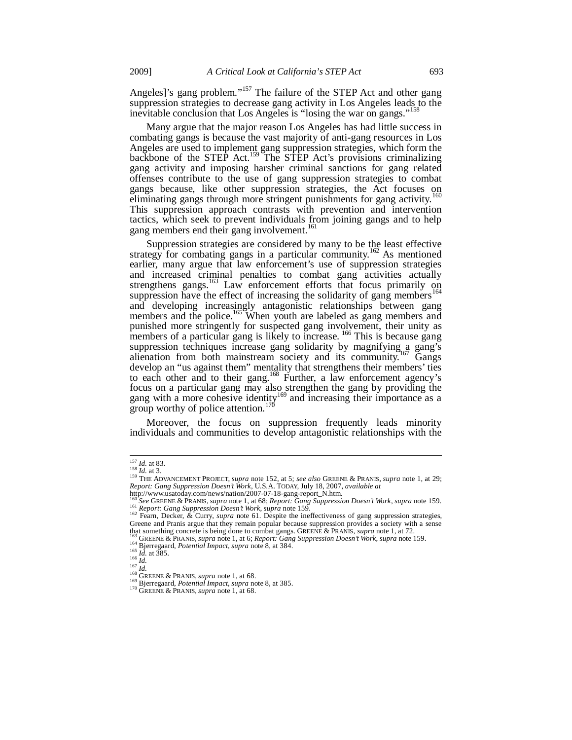Angeles]'s gang problem."<sup>157</sup> The failure of the STEP Act and other gang suppression strategies to decrease gang activity in Los Angeles leads to the inevitable conclusion that Los Angeles is "losing the war on gangs."

Many argue that the major reason Los Angeles has had little success in combating gangs is because the vast majority of anti-gang resources in Los Angeles are used to implement gang suppression strategies, which form the backbone of the STEP Act.<sup>159</sup> The STEP Act's provisions criminalizing gang activity and imposing harsher criminal sanctions for gang related offenses contribute to the use of gang suppression strategies to combat gangs because, like other suppression strategies, the Act focuses on eliminating gangs through more stringent punishments for gang activity.<sup>160</sup> This suppression approach contrasts with prevention and intervention tactics, which seek to prevent individuals from joining gangs and to help gang members end their gang involvement.<sup>161</sup>

Suppression strategies are considered by many to be the least effective strategy for combating gangs in a particular community.<sup>162</sup> As mentioned earlier, many argue that law enforcement's use of suppression strategies and increased criminal penalties to combat gang activities actually strengthens gangs.<sup>163</sup> Law enforcement efforts that focus primarily on suppression have the effect of increasing the solidarity of gang members<sup>164</sup> and developing increasingly antagonistic relationships between gang members and the police.<sup>165</sup> When youth are labeled as gang members and punished more stringently for suspected gang involvement, their unity as members of a particular gang is likely to increase. <sup>166</sup> This is because gang suppression techniques increase gang solidarity by magnifying a gang's alienation from both mainstream society and its community.<sup>167</sup> Gangs develop an "us against them" mentality that strengthens their members' ties to each other and to their gang.168 Further, a law enforcement agency's focus on a particular gang may also strengthen the gang by providing the gang with a more cohesive identity<sup>169</sup> and increasing their importance as a group worthy of police attention.<sup>170</sup>

Moreover, the focus on suppression frequently leads minority individuals and communities to develop antagonistic relationships with the

j

<sup>&</sup>lt;sup>157</sup> Id. at 83.<br><sup>158</sup> Id. at 3.<br><sup>159</sup> THE ADVANCEMENT PROJECT, *supra* note 152, at 5; *see also* GREENE & PRANIS, *supra* note 1, at 29;<br>*Report: Gang Suppression Doesn't Work*, U.S.A. TODAY, July 18, 2007, *available at* 

http://www.usatoday.com/news/nation/2007-07-18-gang-report\_N.htm.<br><sup>160</sup>See GREENE & PRANIS, *supra* note 1, at 68; *Report: Gang Suppression Doesn't Work*, *supra* note 159. 161 Report: Gang Suppression Doesn't Work, supra note 159.<br>
162 Fearn, Decker, & Curry, *supra* note 61. Despite the ineffectiveness of gang suppression strategies,

Greene and Pranis argue that they remain popular because suppression provides a society with a sense<br>that something concrete is being done to combat gangs. GREENE & PRANIS, *supra* note 1, at 72.

<sup>&</sup>lt;sup>163</sup> GREENE & PRANIS, *supra* note 1, at 6; *Report: Gang Suppression Doesn't Work*, *supra* note 159.<br><sup>164</sup> Bjerregaard, *Potential Impact*, *supra* note 8, at 384.<br><sup>165</sup> *Id.* at 385.<br><sup>166</sup> *Id.* at 385.<br><sup>166</sup> *Id.* at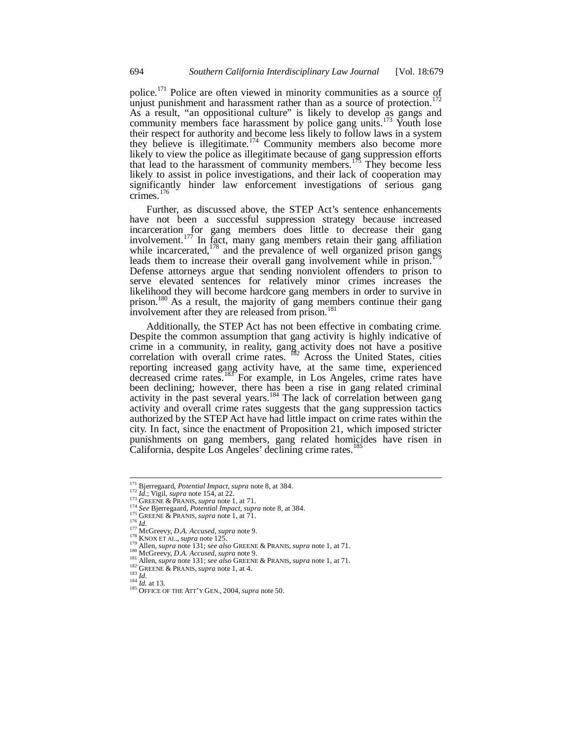police.<sup>171</sup> Police are often viewed in minority communities as a source of unjust punishment and harassment rather than as a source of protection.<sup>172</sup> As a result, "an oppositional culture" is likely to develop as gangs and community members face harassment by police gang units.<sup>173</sup> Youth lose their respect for authority and become less likely to follow laws in a system they believe is illegitimate.<sup>174</sup> Community members also become more likely to view the police as illegitimate because of gang suppression efforts that lead to the harassment of community members.<sup>175</sup> They become less likely to assist in police investigations, and their lack of cooperation may significantly hinder law enforcement investigations of serious gang crimes. $176$ 

Further, as discussed above, the STEP Act's sentence enhancements have not been a successful suppression strategy because increased incarceration for gang members does little to decrease their gang involvement.<sup>177</sup> In fact, many gang members retain their gang affiliation while incarcerated, $178$  and the prevalence of well organized prison gangs leads them to increase their overall gang involvement while in prison.<sup>179</sup> Defense attorneys argue that sending nonviolent offenders to prison to serve elevated sentences for relatively minor crimes increases the likelihood they will become hardcore gang members in order to survive in prison.<sup>180</sup> As a result, the majority of gang members continue their gang involvement after they are released from prison.<sup>181</sup>

Additionally, the STEP Act has not been effective in combating crime. Despite the common assumption that gang activity is highly indicative of crime in a community, in reality, gang activity does not have a positive correlation with overall crime rates.  $182$  Across the United States, cities reporting increased gang activity have, at the same time, experienced decreased crime rates.<sup>183</sup> For example, in Los Angeles, crime rates have been declining; however, there has been a rise in gang related criminal activity in the past several years.<sup>184</sup> The lack of correlation between gang activity and overall crime rates suggests that the gang suppression tactics authorized by the STEP Act have had little impact on crime rates within the city. In fact, since the enactment of Proposition 21, which imposed stricter punishments on gang members, gang related homicides have risen in California, despite Los Angeles' declining crime rates.<sup>18</sup>

<sup>&</sup>lt;sup>171</sup> Bjerregaard, Potential Impact, supra note 8, at 384.

<sup>172</sup> Id.; Vigil, *supper* and 154, at 22.<br>
173 Id.; Vigil, *Supper* and 154, at 22.<br>
173 GREENE & PRANIS, *suppra* note 1, at 71.<br>
<sup>174</sup> See Bjerregaard, *Potential Impact*, *suppra* note 8, at 384.<br>
<sup>175</sup> Id.<br>
175 GREENE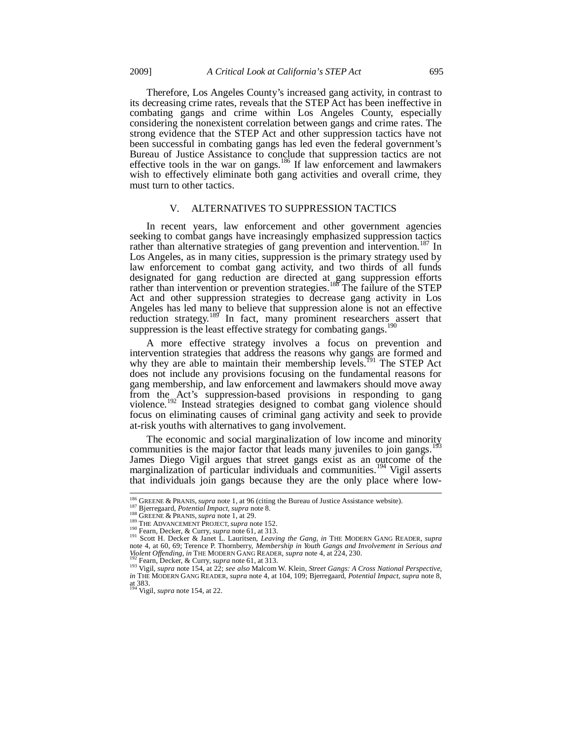Therefore, Los Angeles County's increased gang activity, in contrast to its decreasing crime rates, reveals that the STEP Act has been ineffective in combating gangs and crime within Los Angeles County, especially considering the nonexistent correlation between gangs and crime rates. The strong evidence that the STEP Act and other suppression tactics have not been successful in combating gangs has led even the federal government's Bureau of Justice Assistance to conclude that suppression tactics are not effective tools in the war on gangs.<sup>186</sup> If law enforcement and lawmakers wish to effectively eliminate both gang activities and overall crime, they must turn to other tactics.

## V. ALTERNATIVES TO SUPPRESSION TACTICS

In recent years, law enforcement and other government agencies seeking to combat gangs have increasingly emphasized suppression tactics rather than alternative strategies of gang prevention and intervention.<sup>187</sup> In Los Angeles, as in many cities, suppression is the primary strategy used by law enforcement to combat gang activity, and two thirds of all funds designated for gang reduction are directed at gang suppression efforts rather than intervention or prevention strategies.<sup>188</sup> The failure of the STEP Act and other suppression strategies to decrease gang activity in Los Angeles has led many to believe that suppression alone is not an effective reduction strategy.<sup>189</sup> In fact, many prominent researchers assert that suppression is the least effective strategy for combating gangs.<sup>190</sup>

A more effective strategy involves a focus on prevention and intervention strategies that address the reasons why gangs are formed and why they are able to maintain their membership levels.<sup>191</sup> The STEP Act does not include any provisions focusing on the fundamental reasons for gang membership, and law enforcement and lawmakers should move away from the Act's suppression-based provisions in responding to gang violence.<sup>192</sup> Instead strategies designed to combat gang violence should focus on eliminating causes of criminal gang activity and seek to provide at-risk youths with alternatives to gang involvement.

The economic and social marginalization of low income and minority communities is the major factor that leads many juveniles to join gangs.<sup>1</sup> James Diego Vigil argues that street gangs exist as an outcome of the marginalization of particular individuals and communities.<sup>194</sup> Vigil asserts that individuals join gangs because they are the only place where low-

j

<sup>&</sup>lt;sup>186</sup> GREENE & PRANIS, *supra* note 1, at 96 (citing the Bureau of Justice Assistance website).<br><sup>187</sup> Bjerregaard, *Potential Impact*, *supra* note 8.<br><sup>188</sup> GREENE & PRANIS, *supra* note 1, at 29.<br><sup>189</sup> THE ADVANCEMENT PRO note 4, at 60, 69; Terence P. Thornberry, *Membership in Youth Gangs and Involvement in Serious and*<br>*Violent Offending*, *in* THE MODERN GANG READER, *supra* note 4, at 224, 230.<br><sup>192</sup> Fearn, Decker, & Curry, *supra* note

*in* Team, *Decket*,  $\alpha$  Curry, *supra* note 01,  $\alpha$  313.<br>*in* The Modern GANG READER, *supra* note 4, at 104, 109; Bjerregaard, *Potential Impact*, *supra* note 8, *in* THE MODERN GANG READER, *supra* note 4, at 104, 10 at 383. 194 Vigil, *supra* note 154, at 22.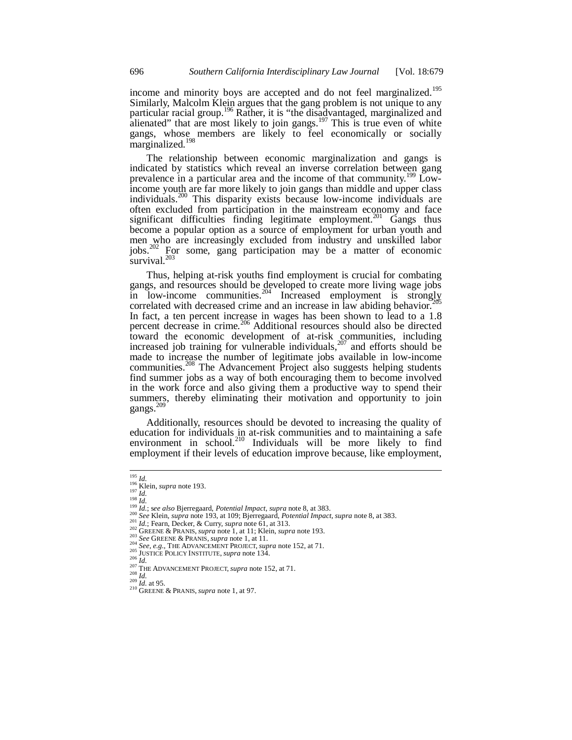income and minority boys are accepted and do not feel marginalized.<sup>195</sup> Similarly, Malcolm Klein argues that the gang problem is not unique to any particular racial group.<sup>196</sup> Rather, it is "the disadvantaged, marginalized and alienated" that are most likely to join gangs.<sup>197</sup> This is true even of white gangs, whose members are likely to feel economically or socially marginalized.<sup>198</sup>

The relationship between economic marginalization and gangs is indicated by statistics which reveal an inverse correlation between gang prevalence in a particular area and the income of that community.<sup>199</sup> Lowincome youth are far more likely to join gangs than middle and upper class individuals.<sup>200</sup> This disparity exists because low-income individuals are often excluded from participation in the mainstream economy and face significant difficulties finding legitimate employment.<sup>201</sup> Gangs thus become a popular option as a source of employment for urban youth and men who are increasingly excluded from industry and unskilled labor jobs.202 For some, gang participation may be a matter of economic survival.<sup>203</sup>

Thus, helping at-risk youths find employment is crucial for combating gangs, and resources should be developed to create more living wage jobs  $\frac{1}{204}$  in low-income communities.<sup>204</sup> Increased employment is strongly correlated with decreased crime and an increase in law abiding behavior. In fact, a ten percent increase in wages has been shown to lead to a 1.8 percent decrease in crime.<sup>206</sup> Additional resources should also be directed toward the economic development of at-risk communities, including increased job training for vulnerable individuals,<sup>207</sup> and efforts should be made to increase the number of legitimate jobs available in low-income communities.<sup>208</sup> The Advancement Project also suggests helping students find summer jobs as a way of both encouraging them to become involved in the work force and also giving them a productive way to spend their summers, thereby eliminating their motivation and opportunity to join gangs.<sup>209</sup>

Additionally, resources should be devoted to increasing the quality of education for individuals in at-risk communities and to maintaining a safe environment in school.<sup>210</sup> Individuals will be more likely to find employment if their levels of education improve because, like employment,

j

<sup>&</sup>lt;sup>195</sup> Id.<br>
<sup>196</sup> Klein, *supra* note 193.<br>
<sup>197</sup> Id.<br>
<sup>197</sup> Id.; see also Bjerregaard, *Potential Impact, supra* note 8, at 383.<br>
<sup>200</sup> Id.; see also Bjerregaard, *Potential Impact, supra* note 8, at 383.<br>
<sup>200</sup> Id.; Fear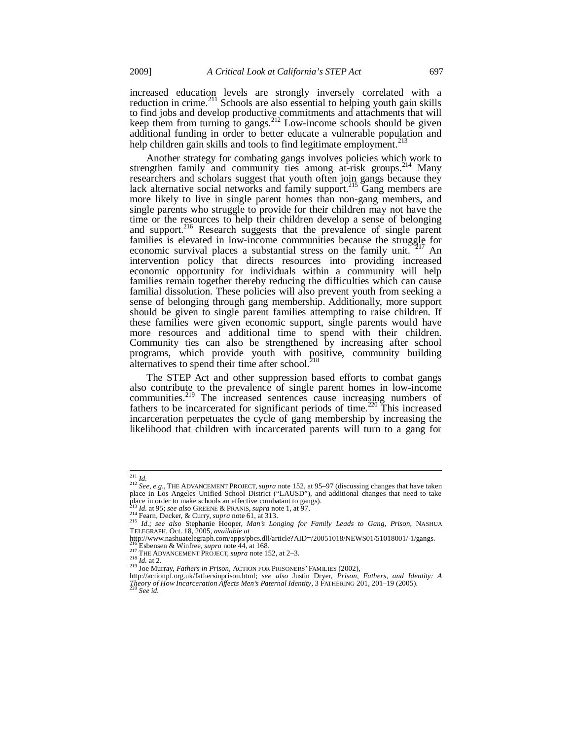increased education levels are strongly inversely correlated with a reduction in crime.<sup>211</sup> Schools are also essential to helping youth gain skills to find jobs and develop productive commitments and attachments that will keep them from turning to gangs.<sup>212</sup> Low-income schools should be given additional funding in order to better educate a vulnerable population and help children gain skills and tools to find legitimate employment.<sup>2</sup>

Another strategy for combating gangs involves policies which work to strengthen family and community ties among at-risk groups.<sup>214</sup> Many researchers and scholars suggest that youth often join gangs because they lack alternative social networks and family support.<sup>215</sup> Gang members are more likely to live in single parent homes than non-gang members, and single parents who struggle to provide for their children may not have the time or the resources to help their children develop a sense of belonging and support.<sup>216</sup> Research suggests that the prevalence of single parent families is elevated in low-income communities because the struggle for economic survival places a substantial stress on the family unit. <sup>217</sup> An intervention policy that directs resources into providing increased economic opportunity for individuals within a community will help families remain together thereby reducing the difficulties which can cause familial dissolution. These policies will also prevent youth from seeking a sense of belonging through gang membership. Additionally, more support should be given to single parent families attempting to raise children. If these families were given economic support, single parents would have more resources and additional time to spend with their children. Community ties can also be strengthened by increasing after school programs, which provide youth with positive, community building alternatives to spend their time after school.<sup>2</sup>

The STEP Act and other suppression based efforts to combat gangs also contribute to the prevalence of single parent homes in low-income communities.<sup>219</sup> The increased sentences cause increasing numbers of fathers to be incarcerated for significant periods of time.<sup>220</sup> This increased incarceration perpetuates the cycle of gang membership by increasing the likelihood that children with incarcerated parents will turn to a gang for

<sup>&</sup>lt;sup>211</sup> Id.<br><sup>212</sup> See, e.g., THE ADVANCEMENT PROJECT, supra note 152, at 95–97 (discussing changes that have taken<br>place in Los Angeles Unified School District ("LAUSD"), and additional changes that need to take place in order to make schools an effective combatant to gangs).<br><sup>213</sup> Id. at 95; *see also* GREENE & PRANIS, *supra* note 1, at 97.

<sup>&</sup>lt;sup>213</sup> Id. at 95; see also GREENE & PRANIS, supra note 1, at 97.<br><sup>214</sup> Fearn, Decker, & Curry, supra note 61, at 313.<br><sup>215</sup> Id.; see also Stephanie Hooper, *Man's Longing for Family Leads to Gang, Prison*, NASHUA<br>TELEGRAPH,

http://www.nashuatelegraph.com/apps/pbcs.dll/article?AID=/20051018/NEWS01/51018001/-1/gangs.

<sup>216</sup> Esbensen & Winfree, *supra* note 44, at 168.<br><sup>217</sup> THE ADVANCEMENT PROJECT, *supra* note 152, at 2–3.<br><sup>218</sup> *Id.* at 2.

<sup>219</sup> Joe Murray, *Fathers in Prison*, ACTION FOR PRISONERS' FAMILIES (2002),<br>http://actionpf.org.uk/fathersinprison.html; *see also* Justin Dryer, *Prison, Fathers, and Identity: A*<br>mixed and *Lease also* Justin Dryer, *Pri Theory of How Incarceration Affects Men's Paternal Identity*, 3 FATHERING 201, 201–19 (2005). 220 *See id.*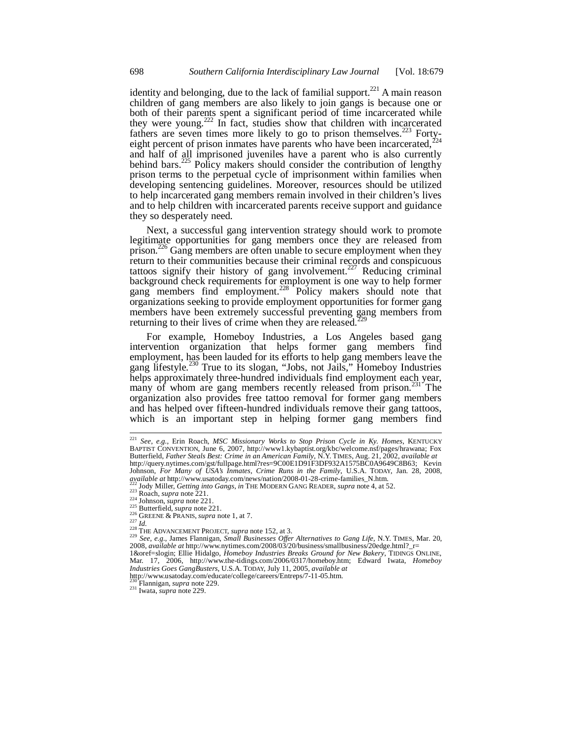identity and belonging, due to the lack of familial support.<sup>221</sup> A main reason children of gang members are also likely to join gangs is because one or both of their parents spent a significant period of time incarcerated while they were young.<sup>222</sup> In fact, studies show that children with incarcerated fathers are seven times more likely to go to prison themselves.<sup>223</sup> Fortyeight percent of prison inmates have parents who have been incarcerated,  $^{224}$ and half of all imprisoned juveniles have a parent who is also currently behind bars.<sup>225</sup> Policy makers should consider the contribution of lengthy prison terms to the perpetual cycle of imprisonment within families when developing sentencing guidelines. Moreover, resources should be utilized to help incarcerated gang members remain involved in their children's lives and to help children with incarcerated parents receive support and guidance they so desperately need.

Next, a successful gang intervention strategy should work to promote legitimate opportunities for gang members once they are released from prison.<sup>226</sup> Gang members are often unable to secure employment when they return to their communities because their criminal records and conspicuous tattoos signify their history of gang involvement.<sup>227</sup> Reducing criminal background check requirements for employment is one way to help former gang members find employment.<sup>228</sup> Policy makers should note that organizations seeking to provide employment opportunities for former gang members have been extremely successful preventing gang members from returning to their lives of crime when they are released.<sup>22</sup>

For example, Homeboy Industries, a Los Angeles based gang intervention organization that helps former gang members find employment, has been lauded for its efforts to help gang members leave the gang lifestyle.<sup>230</sup> True to its slogan, "Jobs, not Jails," Homeboy Industries helps approximately three-hundred individuals find employment each year, many of whom are gang members recently released from prison.<sup>231</sup> The organization also provides free tattoo removal for former gang members and has helped over fifteen-hundred individuals remove their gang tattoos, which is an important step in helping former gang members find

 $\overline{a}$ 

<sup>222</sup> Jody Miller, *Getting into Gangs*, *in* THE MODERN GANG READER, *supra* note 4, at 52.<br><sup>223</sup> Roach, *supra* note 221.<br><sup>225</sup> Johnson, *supra* note 221.<br><sup>225</sup> GREENE & PRANIS, *supra* note 1, at 7.<br><sup>226</sup> GREENE & PRAN 2008, *available at* http://www.nytimes.com/2008/03/20/business/smallbusiness/20edge.html?\_r=<br>1&oref=slogin; Ellie Hidalgo, *Homeboy Industries Breaks Ground for New Bakery*, TIDINGS ONLINE,

Mar. 17, 2006, http://www.the-tidings.com/2006/0317/homeboy.htm; Edward Iwata, *Homeboy Industries Goes GangBusters*, U.S.A. TODAY, July 11, 2005, *available at*

230 Flannigan, *supra* note 229. 231 Iwata, *supra* note 229.

<sup>221</sup> *See, e.g.*, Erin Roach, *MSC Missionary Works to Stop Prison Cycle in Ky. Homes*, KENTUCKY BAPTIST CONVENTION, June 6, 2007, http://www1.kybaptist.org/kbc/welcome.nsf/pages/hrawana; Fox Butterfield, *Father Steals Best: Crime in an American Family*, N.Y. TIMES, Aug. 21, 2002, *available at*  http://query.nytimes.com/gst/fullpage.html?res=9C00E1D91F3DF932A1575BC0A9649C8B63; Kevin Johnson, *For Many of USA's Inmates, Crime Runs in the Family*, U.S.A. TODAY, Jan. 28, 2008, *ayailable at http://www.usatoday.com/news/nation/2008-01-28-crime-families\_N.htm.* 

http://www.usatoday.com/educate/college/careers/Entreps/7-11-05.htm.<br><sup>230</sup> Flannigan, *supra* note 229.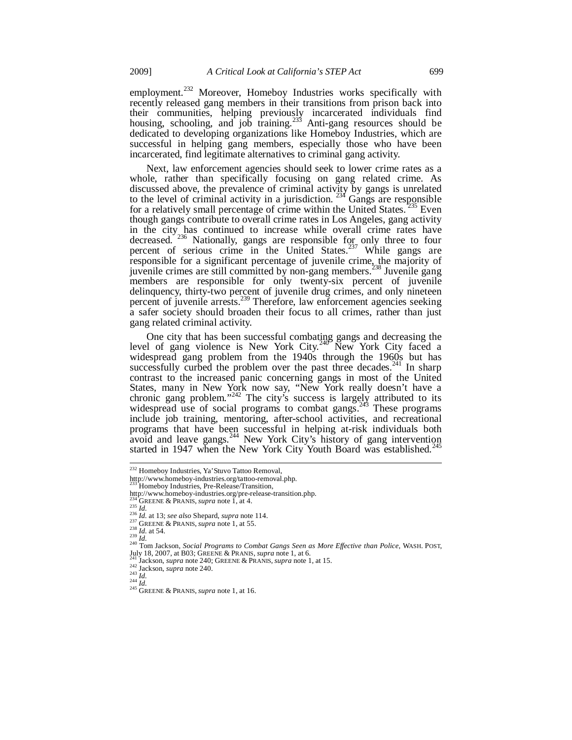employment.<sup>232</sup> Moreover, Homeboy Industries works specifically with recently released gang members in their transitions from prison back into their communities, helping previously incarcerated individuals find housing, schooling, and job training.<sup>233</sup> Anti-gang resources should be dedicated to developing organizations like Homeboy Industries, which are successful in helping gang members, especially those who have been incarcerated, find legitimate alternatives to criminal gang activity.

Next, law enforcement agencies should seek to lower crime rates as a whole, rather than specifically focusing on gang related crime. As discussed above, the prevalence of criminal activity by gangs is unrelated to the level of criminal activity in a jurisdiction.  $^{234}$  Gangs are responsible for a relatively small percentage of crime within the United States.<sup>235</sup> Even though gangs contribute to overall crime rates in Los Angeles, gang activity in the city has continued to increase while overall crime rates have decreased. <sup>236</sup> Nationally, gangs are responsible for only three to four percent of serious crime in the United States.<sup>237</sup> While gangs are responsible for a significant percentage of juvenile crime, the majority of juvenile crimes are still committed by non-gang members.<sup>238</sup> Juvenile gang members are responsible for only twenty-six percent of juvenile delinquency, thirty-two percent of juvenile drug crimes, and only nineteen percent of juvenile arrests.<sup>239</sup> Therefore, law enforcement agencies seeking a safer society should broaden their focus to all crimes, rather than just gang related criminal activity.

One city that has been successful combating gangs and decreasing the level of gang violence is New York City.<sup>240</sup> New York City faced a widespread gang problem from the 1940s through the 1960s but has successfully curbed the problem over the past three decades.<sup>241</sup> In sharp contrast to the increased panic concerning gangs in most of the United States, many in New York now say, "New York really doesn't have a chronic gang problem."<sup>242</sup> The city's success is largely attributed to its widespread use of social programs to combat gangs.<sup>243</sup> These programs include job training, mentoring, after-school activities, and recreational programs that have been successful in helping at-risk individuals both avoid and leave gangs.<sup>244</sup> New York City's history of gang intervention started in 1947 when the New York City Youth Board was established.<sup>245</sup>

<sup>&</sup>lt;sup>232</sup> Homeboy Industries, Ya'Stuvo Tattoo Removal,

http://www.homeboy-industries.org/tattoo-removal.php. 233 Homeboy Industries, Pre-Release/Transition,

http://www.homeboy-industries.org/pre-release-transition.php.<br>
<sup>234</sup> GREENE & PRANIS, *supra* note 1, at 4.<br>
<sup>235</sup> *Id.* 

<sup>&</sup>lt;sup>234</sup><sup>\*</sup>GREENE & PRANIS, *supra* note 1, at 4.<br>
<sup>235</sup> *Id.*<br>
<sup>236</sup> *Id.* at 13; *see also* Shepard, *supra* note 114.<br>
<sup>237</sup> GREENE & PRANIS, *supra* note 1, at 55.<br>
<sup>237</sup> *Id.*<br>
<sup>239</sup> *Id.*<br>
<sup>239</sup> *Id.*<br>
<sup>240</sup> Tom Jackso

July 18, 2007, at B03; GREENE & PRANIS, *supra* note 1, at 6.<br><sup>241</sup> Jackson, *supra* note 240; GREENE & PRANIS, *supra* note 1, at 15.<br><sup>242</sup> Jackson, *supra* note 240.<br><sup>243</sup> *Id.*<br><sup>244</sup> *Id.*<br><sup>245</sup> GREENE & PRANIS, *supra*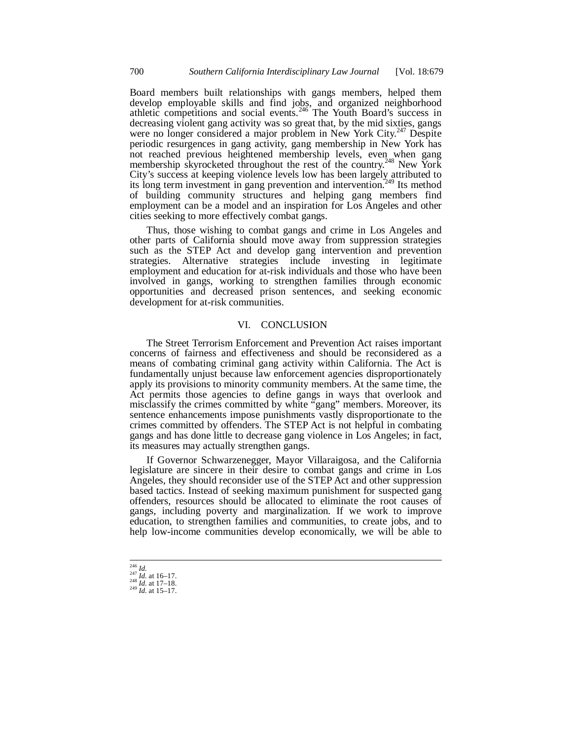Board members built relationships with gangs members, helped them develop employable skills and find jobs, and organized neighborhood athletic competitions and social events.<sup>246</sup> The Youth Board's success in decreasing violent gang activity was so great that, by the mid sixties, gangs were no longer considered a major problem in New York City.<sup>247</sup> Despite periodic resurgences in gang activity, gang membership in New York has not reached previous heightened membership levels, even when gang membership skyrocketed throughout the rest of the country.<sup>248</sup> New York City's success at keeping violence levels low has been largely attributed to its long term investment in gang prevention and intervention.<sup>249</sup> Its method of building community structures and helping gang members find employment can be a model and an inspiration for Los Angeles and other cities seeking to more effectively combat gangs.

Thus, those wishing to combat gangs and crime in Los Angeles and other parts of California should move away from suppression strategies such as the STEP Act and develop gang intervention and prevention strategies. Alternative strategies include investing in legitimate employment and education for at-risk individuals and those who have been involved in gangs, working to strengthen families through economic opportunities and decreased prison sentences, and seeking economic development for at-risk communities.

#### VI. CONCLUSION

The Street Terrorism Enforcement and Prevention Act raises important concerns of fairness and effectiveness and should be reconsidered as a means of combating criminal gang activity within California. The Act is fundamentally unjust because law enforcement agencies disproportionately apply its provisions to minority community members. At the same time, the Act permits those agencies to define gangs in ways that overlook and misclassify the crimes committed by white "gang" members. Moreover, its sentence enhancements impose punishments vastly disproportionate to the crimes committed by offenders. The STEP Act is not helpful in combating gangs and has done little to decrease gang violence in Los Angeles; in fact, its measures may actually strengthen gangs.

If Governor Schwarzenegger, Mayor Villaraigosa, and the California legislature are sincere in their desire to combat gangs and crime in Los Angeles, they should reconsider use of the STEP Act and other suppression based tactics. Instead of seeking maximum punishment for suspected gang offenders, resources should be allocated to eliminate the root causes of gangs, including poverty and marginalization. If we work to improve education, to strengthen families and communities, to create jobs, and to help low-income communities develop economically, we will be able to

 $\overline{a}$ 

<sup>246</sup> *Id.* <sup>247</sup> *Id.* at 16–17. 248 *Id.* at 17–18. 249 *Id.* at 15–17.